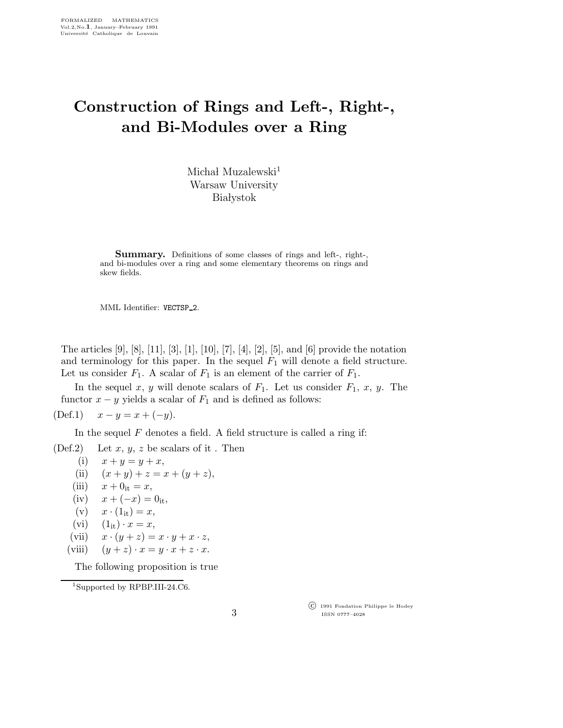## Construction of Rings and Left-, Right-, and Bi-Modules over a Ring

Michał Muzalewski $^1$ Warsaw University **Białystok** 

Summary. Definitions of some classes of rings and left-, right-, and bi-modules over a ring and some elementary theorems on rings and skew fields.

MML Identifier: VECTSP 2.

The articles [9], [8], [11], [3], [1], [10], [7], [4], [2], [5], and [6] provide the notation and terminology for this paper. In the sequel  $F_1$  will denote a field structure. Let us consider  $F_1$ . A scalar of  $F_1$  is an element of the carrier of  $F_1$ .

In the sequel x, y will denote scalars of  $F_1$ . Let us consider  $F_1$ , x, y. The functor  $x - y$  yields a scalar of  $F_1$  and is defined as follows:

(Def.1)  $x - y = x + (-y)$ .

In the sequel  $F$  denotes a field. A field structure is called a ring if:

(Def.2) Let  $x, y, z$  be scalars of it. Then

$$
(i) \quad x + y = y + x,
$$

- (ii)  $(x + y) + z = x + (y + z),$
- (iii)  $x + 0<sub>it</sub> = x$ ,
- (iv)  $x + (-x) = 0$ <sub>it</sub>,
- (v)  $x \cdot (1_{it}) = x$ ,
- (vi)  $(1_{it}) \cdot x = x,$
- (vii)  $x \cdot (y + z) = x \cdot y + x \cdot z$ ,
- (viii)  $(y + z) \cdot x = y \cdot x + z \cdot x$ .

The following proposition is true

<sup>1</sup>Supported by RPBP.III-24.C6.

 c 1991 Fondation Philippe le Hodey ISSN 0777–4028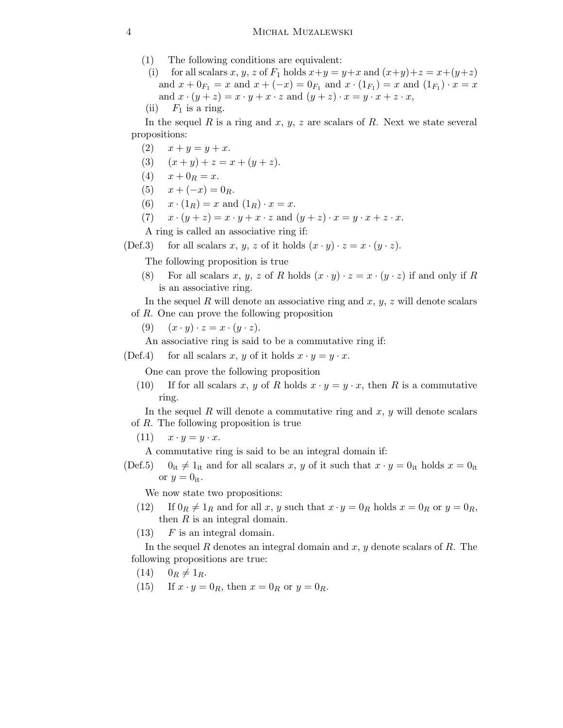- (1) The following conditions are equivalent:
- (i) for all scalars x, y, z of  $F_1$  holds  $x+y=y+x$  and  $(x+y)+z=x+(y+z)$ and  $x + 0_{F_1} = x$  and  $x + (-x) = 0_{F_1}$  and  $x \cdot (1_{F_1}) = x$  and  $(1_{F_1}) \cdot x = x$ and  $x \cdot (y + z) = x \cdot y + x \cdot z$  and  $(y + z) \cdot x = y \cdot x + z \cdot x$ ,
- (ii)  $F_1$  is a ring.

In the sequel R is a ring and  $x, y, z$  are scalars of R. Next we state several propositions:

- (2)  $x + y = y + x$ .
- (3)  $(x + y) + z = x + (y + z).$
- (4)  $x + 0_R = x$ .
- (5)  $x + (-x) = 0_R$ .
- (6)  $x \cdot (1_R) = x$  and  $(1_R) \cdot x = x$ .
- (7)  $x \cdot (y + z) = x \cdot y + x \cdot z$  and  $(y + z) \cdot x = y \cdot x + z \cdot x$ .

A ring is called an associative ring if:

(Def.3) for all scalars x, y, z of it holds  $(x \cdot y) \cdot z = x \cdot (y \cdot z)$ .

The following proposition is true

- (8) For all scalars x, y, z of R holds  $(x \cdot y) \cdot z = x \cdot (y \cdot z)$  if and only if R is an associative ring.
- In the sequel R will denote an associative ring and  $x, y, z$  will denote scalars of R. One can prove the following proposition
	- (9)  $(x \cdot y) \cdot z = x \cdot (y \cdot z).$

An associative ring is said to be a commutative ring if:

(Def.4) for all scalars x, y of it holds  $x \cdot y = y \cdot x$ .

One can prove the following proposition

(10) If for all scalars x, y of R holds  $x \cdot y = y \cdot x$ , then R is a commutative ring.

In the sequel R will denote a commutative ring and  $x, y$  will denote scalars of R. The following proposition is true

(11)  $x \cdot y = y \cdot x$ .

A commutative ring is said to be an integral domain if:

(Def.5)  $0_{it} \neq 1_{it}$  and for all scalars x, y of it such that  $x \cdot y = 0_{it}$  holds  $x = 0_{it}$ or  $y=0$ <sub>it</sub>.

We now state two propositions:

- (12) If  $0_R \neq 1_R$  and for all x, y such that  $x \cdot y = 0_R$  holds  $x = 0_R$  or  $y = 0_R$ , then  $R$  is an integral domain.
- $(13)$  F is an integral domain.

In the sequel R denotes an integral domain and  $x, y$  denote scalars of R. The following propositions are true:

- $(14)$   $0_R \neq 1_R$ .
- (15) If  $x \cdot y = 0_R$ , then  $x = 0_R$  or  $y = 0_R$ .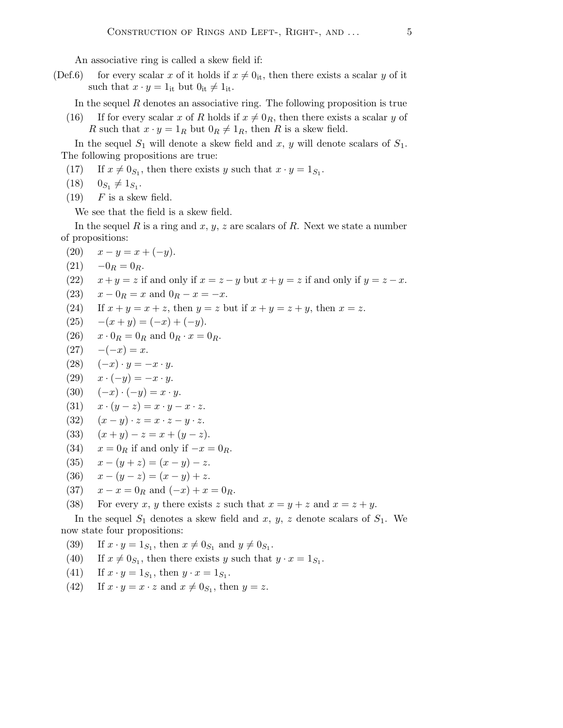An associative ring is called a skew field if:

(Def.6) for every scalar x of it holds if  $x \neq 0$ <sub>it</sub>, then there exists a scalar y of it such that  $x \cdot y = 1$ <sub>it</sub> but  $0_{it} \neq 1_{it}$ .

In the sequel  $R$  denotes an associative ring. The following proposition is true

(16) If for every scalar x of R holds if  $x \neq 0_R$ , then there exists a scalar y of R such that  $x \cdot y = 1_R$  but  $0_R \neq 1_R$ , then R is a skew field.

In the sequel  $S_1$  will denote a skew field and x, y will denote scalars of  $S_1$ . The following propositions are true:

- (17) If  $x \neq 0_{S_1}$ , then there exists y such that  $x \cdot y = 1_{S_1}$ .
- $(18)$  $\neq 1_{S_1}.$
- $(19)$  F is a skew field.

We see that the field is a skew field.

In the sequel R is a ring and  $x, y, z$  are scalars of R. Next we state a number of propositions:

- (20)  $x y = x + (-y)$ .
- $(21) \quad -0_R = 0_R.$

(22) 
$$
x + y = z
$$
 if and only if  $x = z - y$  but  $x + y = z$  if and only if  $y = z - x$ .

(23) 
$$
x - 0_R = x
$$
 and  $0_R - x = -x$ .

(24) If  $x + y = x + z$ , then  $y = z$  but if  $x + y = z + y$ , then  $x = z$ .

$$
(25) \quad -(x+y) = (-x) + (-y).
$$

- (26)  $x \cdot 0_R = 0_R$  and  $0_R \cdot x = 0_R$ .
- $(27) -(-x) = x.$
- (28)  $(-x) \cdot y = -x \cdot y$ .
- $(29)$   $x \cdot (-y) = -x \cdot y$ .
- (30)  $(-x) \cdot (-y) = x \cdot y$ .
- (31)  $x \cdot (y z) = x \cdot y x \cdot z$ .

$$
(32) \quad (x-y) \cdot z = x \cdot z - y \cdot z.
$$

- (33)  $(x + y) z = x + (y z).$
- (34)  $x = 0_R$  if and only if  $-x = 0_R$ .
- (35)  $x (y + z) = (x y) z$ .
- (36)  $x (y z) = (x y) + z$ .
- (37)  $x x = 0_R$  and  $(-x) + x = 0_R$ .
- (38) For every x, y there exists z such that  $x = y + z$  and  $x = z + y$ .

In the sequel  $S_1$  denotes a skew field and x, y, z denote scalars of  $S_1$ . We now state four propositions:

- (39) If  $x \cdot y = 1_{S_1}$ , then  $x \neq 0_{S_1}$  and  $y \neq 0_{S_1}$ .
- (40) If  $x \neq 0_{S_1}$ , then there exists y such that  $y \cdot x = 1_{S_1}$ .
- (41) If  $x \cdot y = 1_{S_1}$ , then  $y \cdot x = 1_{S_1}$ .
- (42) If  $x \cdot y = x \cdot z$  and  $x \neq 0_{S_1}$ , then  $y = z$ .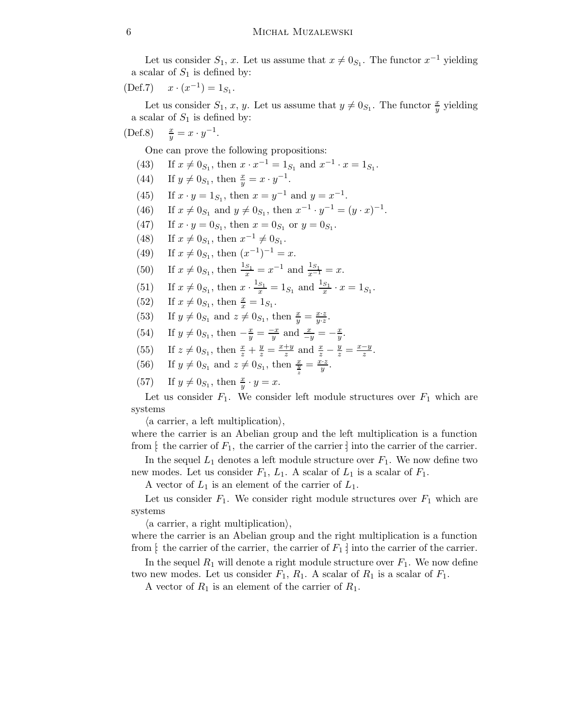Let us consider  $S_1$ , x. Let us assume that  $x \neq 0_{S_1}$ . The functor  $x^{-1}$  yielding a scalar of  $S_1$  is defined by:

$$
(\text{Def.7}) \quad x \cdot (x^{-1}) = 1_{S_1}.
$$

Let us consider  $S_1$ , x, y. Let us assume that  $y \neq 0_{S_1}$ . The functor  $\frac{x}{y}$  yielding a scalar of  $S_1$  is defined by:

(Def.8) 
$$
\frac{x}{y} = x \cdot y^{-1}
$$
.

One can prove the following propositions:

- (43) If  $x \neq 0_{S_1}$ , then  $x \cdot x^{-1} = 1_{S_1}$  and  $x^{-1} \cdot x = 1_{S_1}$ .
- (44) If  $y \neq 0_{S_1}$ , then  $\frac{x}{y} = x \cdot y^{-1}$ .
- (45) If  $x \cdot y = 1_{S_1}$ , then  $x = y^{-1}$  and  $y = x^{-1}$ .
- (46) If  $x \neq 0_{S_1}$  and  $y \neq 0_{S_1}$ , then  $x^{-1} \cdot y^{-1} = (y \cdot x)^{-1}$ .
- (47) If  $x \cdot y = 0_{S_1}$ , then  $x = 0_{S_1}$  or  $y = 0_{S_1}$ .
- (48) If  $x \neq 0_{S_1}$ , then  $x^{-1} \neq 0_{S_1}$ .
- (49) If  $x \neq 0_{S_1}$ , then  $(x^{-1})^{-1} = x$ .
- (50) If  $x \neq 0_{S_1}$ , then  $\frac{1_{S_1}}{x} = x^{-1}$  and  $\frac{1_{S_1}}{x^{-1}} = x$ .
- (51) If  $x \neq 0_{S_1}$ , then  $x \cdot \frac{1_{S_1}}{x} = 1_{S_1}$  and  $\frac{1_{S_1}}{x} \cdot x = 1_{S_1}$ .
- (52) If  $x \neq 0_{S_1}$ , then  $\frac{x}{x} = 1_{S_1}$ .
- (53) If  $y \neq 0_{S_1}$  and  $z \neq 0_{S_1}$ , then  $\frac{x}{y} = \frac{x \cdot z}{y \cdot z}$  $\frac{x \cdot z}{y \cdot z}.$
- (54) If  $y \neq 0_{S_1}$ , then  $-\frac{x}{y} = \frac{-x}{y}$  and  $\frac{x}{-y} = -\frac{x}{y}$ .
- (55) If  $z \neq 0_{S_1}$ , then  $\frac{x}{z} + \frac{y}{z} = \frac{x+y}{z}$  $\frac{+y}{z}$  and  $\frac{x}{z} - \frac{y}{z} = \frac{x-y}{z}$  $\frac{-y}{z}$ .
- (56) If  $y \neq 0_{S_1}$  and  $z \neq 0_{S_1}$ , then  $\frac{x}{\frac{y}{z}} = \frac{\hat{x} \cdot \hat{z}}{y}$  $\frac{z}{y}$  .
- (57) If  $y \neq 0_{S_1}$ , then  $\frac{x}{y} \cdot y = x$ .

Let us consider  $F_1$ . We consider left module structures over  $F_1$  which are systems

 $\langle$  a carrier, a left multiplication $\rangle$ ,

where the carrier is an Abelian group and the left multiplication is a function from  $\left[\right]$  the carrier of  $F_1$ , the carrier of the carrier  $\left[\right]$  into the carrier of the carrier.

In the sequel  $L_1$  denotes a left module structure over  $F_1$ . We now define two new modes. Let us consider  $F_1, L_1$ . A scalar of  $L_1$  is a scalar of  $F_1$ .

A vector of  $L_1$  is an element of the carrier of  $L_1$ .

Let us consider  $F_1$ . We consider right module structures over  $F_1$  which are systems

 $\langle$  a carrier, a right multiplication $\rangle$ ,

where the carrier is an Abelian group and the right multiplication is a function from [: the carrier of the carrier, the carrier of  $F_1$  ] into the carrier of the carrier.

In the sequel  $R_1$  will denote a right module structure over  $F_1$ . We now define two new modes. Let us consider  $F_1$ ,  $R_1$ . A scalar of  $R_1$  is a scalar of  $F_1$ .

A vector of  $R_1$  is an element of the carrier of  $R_1$ .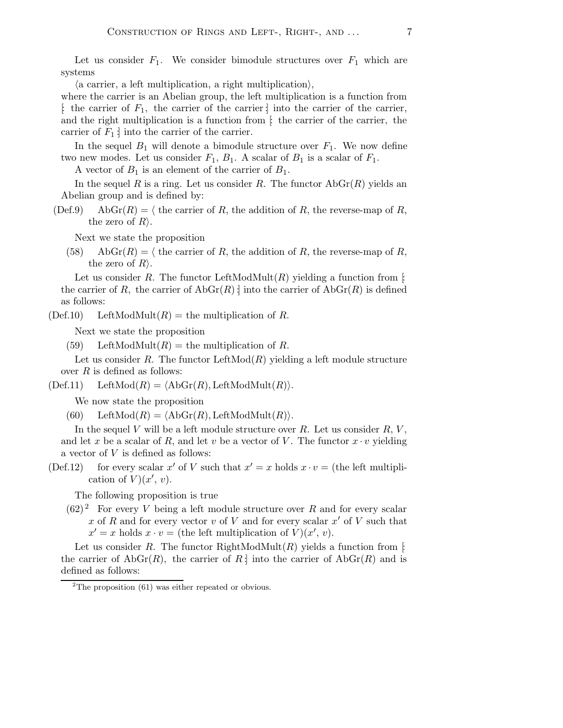Let us consider  $F_1$ . We consider bimodule structures over  $F_1$  which are systems

 $\langle$  a carrier, a left multiplication, a right multiplication $\rangle$ ,

where the carrier is an Abelian group, the left multiplication is a function from  $\left[\right]$ : the carrier of  $F_1$ , the carrier of the carrier into the carrier of the carrier, and the right multiplication is a function from  $\mathfrak{f}$  the carrier of the carrier, the carrier of  $F_1$  into the carrier of the carrier.

In the sequel  $B_1$  will denote a bimodule structure over  $F_1$ . We now define two new modes. Let us consider  $F_1$ ,  $B_1$ . A scalar of  $B_1$  is a scalar of  $F_1$ .

A vector of  $B_1$  is an element of the carrier of  $B_1$ .

In the sequel R is a ring. Let us consider R. The functor  $\text{AbGr}(R)$  yields an Abelian group and is defined by:

(Def.9) AbGr(R) =  $\langle$  the carrier of R, the addition of R, the reverse-map of R, the zero of  $R$ ).

Next we state the proposition

(58) AbGr(R) =  $\langle$  the carrier of R, the addition of R, the reverse-map of R, the zero of  $R$ ).

Let us consider R. The functor LeftModMult $(R)$  yielding a function from [: the carrier of R, the carrier of  $\text{AbGr}(R)$  is the carrier of  $\text{AbGr}(R)$  is defined as follows:

 $(Def.10)$  LeftModMult $(R)$  = the multiplication of R.

Next we state the proposition

(59) LeftModMult $(R)$  = the multiplication of R.

Let us consider R. The functor  $\mathrm{LeftMod}(R)$  yielding a left module structure over  $R$  is defined as follows:

 $(Def.11)$  Left $Mod(R) = \langle AbGr(R), LeftModMult(R)\rangle.$ 

We now state the proposition

(60) Left $\text{Mod}(R) = \langle \text{AbGr}(R), \text{LeftModMult}(R) \rangle.$ 

In the sequel V will be a left module structure over  $R$ . Let us consider  $R$ ,  $V$ , and let x be a scalar of R, and let v be a vector of V. The functor  $x \cdot v$  yielding a vector of V is defined as follows:

(Def.12) for every scalar x' of V such that  $x' = x$  holds  $x \cdot v =$  (the left multiplication of  $V(x', v)$ .

The following proposition is true

 $(62)^2$  For every V being a left module structure over R and for every scalar x of R and for every vector v of V and for every scalar  $x'$  of V such that  $x' = x$  holds  $x \cdot v =$  (the left multiplication of  $\check{V}(x', v)$ ).

Let us consider R. The functor RightModMult $(R)$  yields a function from [: the carrier of  $AbGr(R)$ , the carrier of  $R \downarrow$  into the carrier of  $AbGr(R)$  and is defined as follows:

 $2$ The proposition (61) was either repeated or obvious.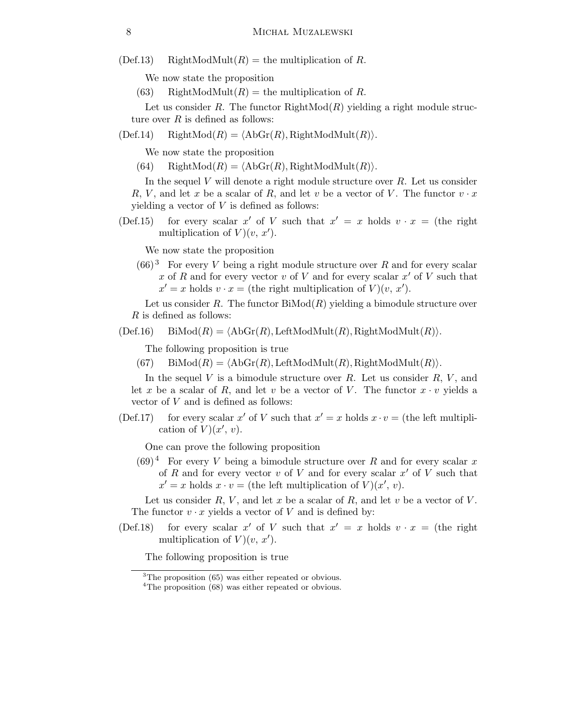(Def.13) RightModMult $(R)$  = the multiplication of R.

We now state the proposition

(63) RightModMult $(R)$  = the multiplication of R.

Let us consider R. The functor  $RightMod(R)$  yielding a right module structure over  $R$  is defined as follows:

 $(Def.14)$  RightMod $(R) = \langle AbGr(R), RightModMult(R)\rangle.$ 

We now state the proposition

(64) RightMod $(R) = \langle \text{AbGr}(R), \text{RightModMult}(R) \rangle.$ 

In the sequel  $V$  will denote a right module structure over  $R$ . Let us consider R, V, and let x be a scalar of R, and let v be a vector of V. The functor  $v \cdot x$ yielding a vector of  $V$  is defined as follows:

(Def.15) for every scalar x' of V such that  $x' = x$  holds  $v \cdot x =$  (the right multiplication of  $V(y, x')$ .

We now state the proposition

 $(66)^3$  For every V being a right module structure over R and for every scalar x of R and for every vector v of V and for every scalar  $x'$  of V such that  $x' = x$  holds  $v \cdot x =$  (the right multiplication of  $V(x, x')$ ).

Let us consider R. The functor  $\text{BiMod}(R)$  yielding a bimodule structure over R is defined as follows:

 $(Def.16)$  BiMod $(R) = \langle AbGr(R), LeftModMult(R), RightModMult(R)\rangle.$ 

The following proposition is true

(67) BiMod $(R) = \langle \text{AbGr}(R), \text{LeftModMult}(R), \text{RightModMult}(R) \rangle.$ 

In the sequel  $V$  is a bimodule structure over  $R$ . Let us consider  $R$ ,  $V$ , and let x be a scalar of R, and let v be a vector of V. The functor  $x \cdot v$  yields a vector of V and is defined as follows:

(Def.17) for every scalar x' of V such that  $x' = x$  holds  $x \cdot v =$  (the left multiplication of  $\check{V}$  $(x', v)$ .

One can prove the following proposition

 $(69)^4$  For every V being a bimodule structure over R and for every scalar x of R and for every vector v of V and for every scalar  $x'$  of V such that  $x' = x$  holds  $x \cdot v =$  (the left multiplication of  $V(x', v)$ ).

Let us consider  $R, V$ , and let x be a scalar of  $R$ , and let v be a vector of V. The functor  $v \cdot x$  yields a vector of V and is defined by:

(Def.18) for every scalar x' of V such that  $x' = x$  holds  $v \cdot x =$  (the right multiplication of  $V(y, x')$ .

The following proposition is true

 ${}^{3}$ The proposition (65) was either repeated or obvious.

<sup>&</sup>lt;sup>4</sup>The proposition (68) was either repeated or obvious.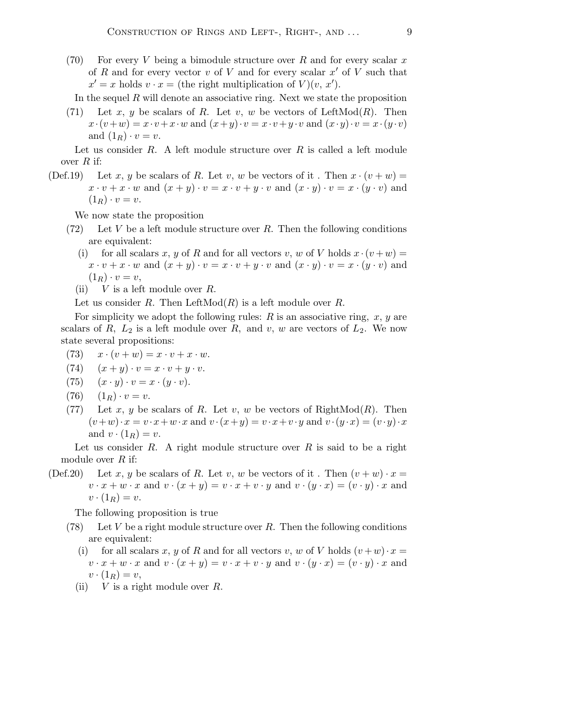(70) For every V being a bimodule structure over R and for every scalar x of R and for every vector v of V and for every scalar  $x'$  of V such that  $x' = x$  holds  $v \cdot x =$  (the right multiplication of  $V(x, x')$ ).

In the sequel  $R$  will denote an associative ring. Next we state the proposition

(71) Let x, y be scalars of R. Let v, w be vectors of LeftMod $(R)$ . Then  $x \cdot (v+w) = x \cdot v + x \cdot w$  and  $(x+y) \cdot v = x \cdot v + y \cdot v$  and  $(x \cdot y) \cdot v = x \cdot (y \cdot v)$ and  $(1_R) \cdot v = v$ .

Let us consider  $R$ . A left module structure over  $R$  is called a left module over  $R$  if:

(Def.19) Let x, y be scalars of R. Let v, w be vectors of it. Then  $x \cdot (v+w) =$  $x \cdot v + x \cdot w$  and  $(x + y) \cdot v = x \cdot v + y \cdot v$  and  $(x \cdot y) \cdot v = x \cdot (y \cdot v)$  and  $(1_R) \cdot v = v.$ 

We now state the proposition

- (72) Let V be a left module structure over R. Then the following conditions are equivalent:
	- (i) for all scalars x, y of R and for all vectors v, w of V holds  $x \cdot (v + w) =$  $x \cdot v + x \cdot w$  and  $(x + y) \cdot v = x \cdot v + y \cdot v$  and  $(x \cdot y) \cdot v = x \cdot (y \cdot v)$  and  $(1_R)\cdot v=v,$
	- (ii)  $V$  is a left module over  $R$ .

Let us consider R. Then LeftMod $(R)$  is a left module over R.

For simplicity we adopt the following rules:  $R$  is an associative ring,  $x, y$  are scalars of R,  $L_2$  is a left module over R, and v, w are vectors of  $L_2$ . We now state several propositions:

- (73)  $x \cdot (v+w) = x \cdot v + x \cdot w$ .
- (74)  $(x + y) \cdot v = x \cdot v + y \cdot v.$
- (75)  $(x \cdot y) \cdot v = x \cdot (y \cdot v).$
- (76)  $(1_R) \cdot v = v$ .
- (77) Let x, y be scalars of R. Let v, w be vectors of RightMod $(R)$ . Then  $(v+w)\cdot x = v\cdot x + w\cdot x$  and  $v\cdot (x+y) = v\cdot x + v\cdot y$  and  $v\cdot (y\cdot x) = (v\cdot y)\cdot x$ and  $v \cdot (1_R) = v$ .

Let us consider R. A right module structure over R is said to be a right module over  $R$  if:

(Def.20) Let x, y be scalars of R. Let v, w be vectors of it. Then  $(v + w) \cdot x =$  $v \cdot x + w \cdot x$  and  $v \cdot (x + y) = v \cdot x + v \cdot y$  and  $v \cdot (y \cdot x) = (v \cdot y) \cdot x$  and  $v \cdot (1_R) = v.$ 

The following proposition is true

- (78) Let V be a right module structure over R. Then the following conditions are equivalent:
	- (i) for all scalars x, y of R and for all vectors v, w of V holds  $(v+w) \cdot x =$  $v \cdot x + w \cdot x$  and  $v \cdot (x + y) = v \cdot x + v \cdot y$  and  $v \cdot (y \cdot x) = (v \cdot y) \cdot x$  and  $v\cdot(1_R)=v,$
	- (ii)  $V$  is a right module over  $R$ .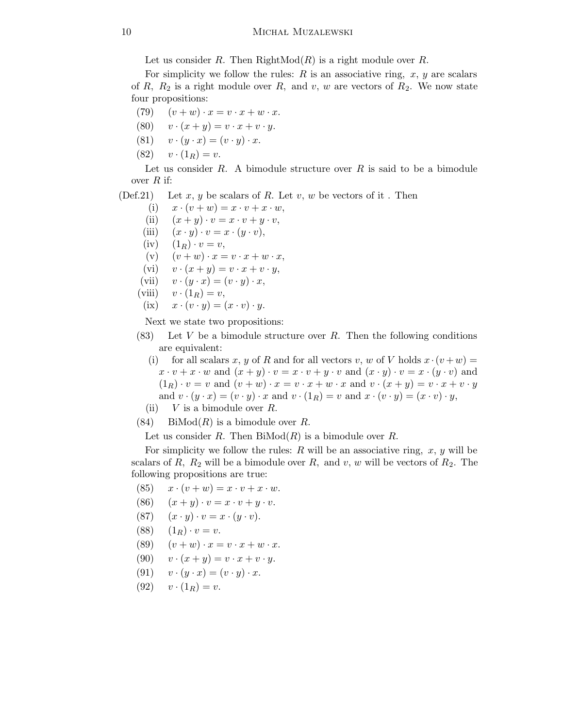Let us consider R. Then  $RightMod(R)$  is a right module over R.

For simplicity we follow the rules:  $R$  is an associative ring,  $x, y$  are scalars of R,  $R_2$  is a right module over R, and v, w are vectors of  $R_2$ . We now state four propositions:

- (79)  $(v+w)\cdot x=v\cdot x+w\cdot x$ .
- (80)  $v \cdot (x + y) = v \cdot x + v \cdot y$ .
- (81)  $v \cdot (y \cdot x) = (v \cdot y) \cdot x$ .
- (82)  $v \cdot (1_R) = v.$

Let us consider  $R$ . A bimodule structure over  $R$  is said to be a bimodule over  $R$  if:

(Def.21) Let x, y be scalars of R. Let v, w be vectors of it. Then

- (i)  $x \cdot (v + w) = x \cdot v + x \cdot w$ ,
- (ii)  $(x + y) \cdot v = x \cdot v + y \cdot v$ ,
- (iii)  $(x \cdot y) \cdot v = x \cdot (y \cdot v),$
- $(iv)$   $(1_R) \cdot v = v$ ,
- (v)  $(v + w) \cdot x = v \cdot x + w \cdot x$ ,
- (vi)  $v \cdot (x + y) = v \cdot x + v \cdot y$ ,
- (vii)  $v \cdot (y \cdot x) = (v \cdot y) \cdot x$ ,
- (viii)  $v \cdot (1_R) = v$ ,
- (ix)  $x \cdot (v \cdot y) = (x \cdot v) \cdot y$ .

Next we state two propositions:

- $(83)$  Let V be a bimodule structure over R. Then the following conditions are equivalent:
	- (i) for all scalars x, y of R and for all vectors v, w of V holds  $x \cdot (v + w) =$  $x \cdot v + x \cdot w$  and  $(x + y) \cdot v = x \cdot v + y \cdot v$  and  $(x \cdot y) \cdot v = x \cdot (y \cdot v)$  and  $(1_R) \cdot v = v$  and  $(v + w) \cdot x = v \cdot x + w \cdot x$  and  $v \cdot (x + y) = v \cdot x + v \cdot y$ and  $v \cdot (y \cdot x) = (v \cdot y) \cdot x$  and  $v \cdot (1_R) = v$  and  $x \cdot (v \cdot y) = (x \cdot v) \cdot y$ ,
- (ii)  $V$  is a bimodule over  $R$ .
- $(84)$  BiMod $(R)$  is a bimodule over R.

Let us consider R. Then  $\text{BiMod}(R)$  is a bimodule over R.

For simplicity we follow the rules:  $R$  will be an associative ring,  $x, y$  will be scalars of R,  $R_2$  will be a bimodule over R, and v, w will be vectors of  $R_2$ . The following propositions are true:

- $(85)$   $x \cdot (v + w) = x \cdot v + x \cdot w$ .
- (86)  $(x + y) \cdot v = x \cdot v + y \cdot v$ .
- (87)  $(x \cdot y) \cdot v = x \cdot (y \cdot v).$
- (88)  $(1_R) \cdot v = v.$
- (89)  $(v+w)\cdot x=v\cdot x+w\cdot x.$
- (90)  $v \cdot (x + y) = v \cdot x + v \cdot y$ .
- (91)  $v \cdot (y \cdot x) = (v \cdot y) \cdot x.$
- (92)  $v \cdot (1_R) = v.$